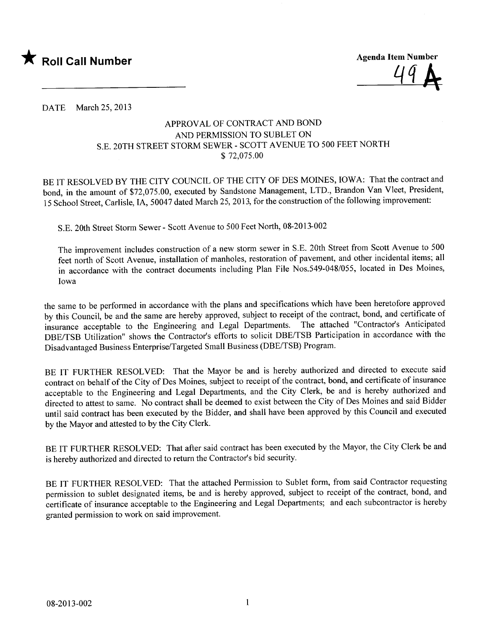

4q A

DATE March 25, 2013

## APPROV AL OF CONTRACT AND BOND AND PERMISSION TO SUBLET ON S.E. 20TH STREET STORM SEWER - SCOTT AVENUE TO 500 FEET NORTH \$ 72,075.00

BE IT RESOLVED BY THE CITY COUNCIL OF THE CITY OF DES MOINES, IOWA: That the contract and bond, in the amount of \$72,075.00, executed by Sandstone Management, LTD., Brandon Van Vleet, President, 15 School Street, Carlisle, lA, 50047 dated March 25,2013, for the construction of the following improvement:

S.E. 20th Street Storm Sewer - Scott Avenue to 500 Feet North, 08-2013-002

The improvement includes construction of a new storm sewer in S.E. 20th Street from Scott Avenue to 500 feet north of Scott A venue, installation of manholes, restoration of pavement, and other incidental items; all in accordance with the contract documents including Plan File Nos.549-048/055, located in Des Moines, Iowa

the same to be performed in accordance with the plans and specifications which have been heretofore approved by this Council, be and the same are hereby approved, subject to receipt of the contract, bond, and certificate of insurance acceptable to the Engineering and Legal Departments. The attached "Contractor's Anticipated DBE/TSB Utilization" shows the Contractor's efforts to solicit DBE/TSB Participation in accordance with the Disadvantaged Business Enterprise/Targeted Small Business (DBE/TSB) Program.

BE IT FURTHER RESOLVED: That the Mayor be and is hereby authorized and directed to execute said contract on behalf of the City of Des Moines, subject to receipt of the contract, bond, and certificate of insurance acceptable to the Engineering and Legal Departments, and the City Clerk, be and is hereby authorized and directed to attest to same. No contract shall be deemed to exist between the City of Des Moines and said Bidder until said contract has been executed by the Bidder, and shall have been approved by this Council and executed by the Mayor and attested to by the City Clerk.

BE IT FURTHER RESOLVED: That after said contract has been executed by the Mayor, the City Clerk be and is hereby authorized and directed to return the Contractor's bid security.

BE IT FURTHER RESOLVED: That the attached Permission to Sublet form, from said Contractor requesting permission to sublet designated items, be and is hereby approved, subject to receipt of the contract, bond, and certificate of insurance acceptable to the Engineering and Legal Departments; and each subcontractor is hereby granted permission to work on said improvement.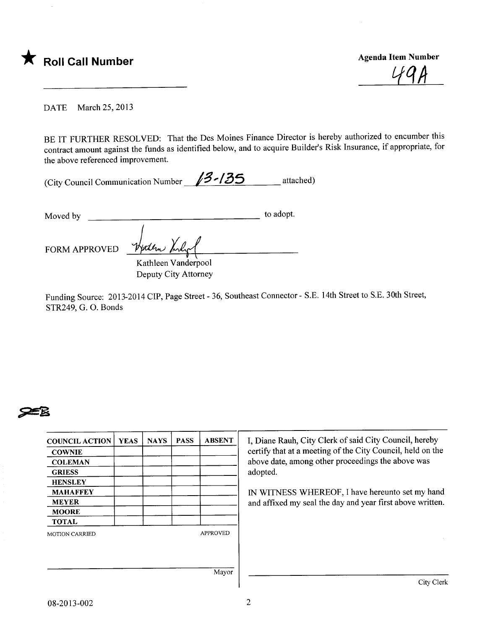

49 H

DATE March 25, 2013

BE IT FURTHER RESOLVED: That the Des Moines Finance Director is hereby authorized to encumber this contract amount against the funds as identified below, and to acquire Builder's Risk Insurance, if appropriate, for the above referenced improvement.

| (City Council Communication Number | $13 - 135$ | attached) |
|------------------------------------|------------|-----------|
|------------------------------------|------------|-----------|

| Moved by             |                     | to adopt. |
|----------------------|---------------------|-----------|
| <b>FORM APPROVED</b> | Herten Kirler       |           |
|                      | Kathleen Vanderpool |           |

Deputy City Attorney

Funding Source: 2013-2014 CIP, Page Street - 36, Southeast Connector - S.E. 14th Street to S.E. 30th Street, STR249, G. O. Bonds



| <b>COUNCIL ACTION</b> | <b>YEAS</b> | <b>NAYS</b> | <b>PASS</b> | <b>ABSENT</b>   |
|-----------------------|-------------|-------------|-------------|-----------------|
| <b>COWNIE</b>         |             |             |             |                 |
| <b>COLEMAN</b>        |             |             |             |                 |
| <b>GRIESS</b>         |             |             |             |                 |
| <b>HENSLEY</b>        |             |             |             |                 |
| <b>MAHAFFEY</b>       |             |             |             |                 |
| <b>MEYER</b>          |             |             |             |                 |
| <b>MOORE</b>          |             |             |             |                 |
| <b>TOTAL</b>          |             |             |             |                 |
| <b>MOTION CARRIED</b> |             |             |             | <b>APPROVED</b> |
|                       |             |             |             | Mayor           |

I, Diane Rauh, City Clerk of said City Council, hereby certify that at a meeting of the City Council, held on the above date, among other proceedings the above was adopted.

IN WITNESS WHEREOF, I have hereunto set my hand and affixed my seal the day and year first above written.